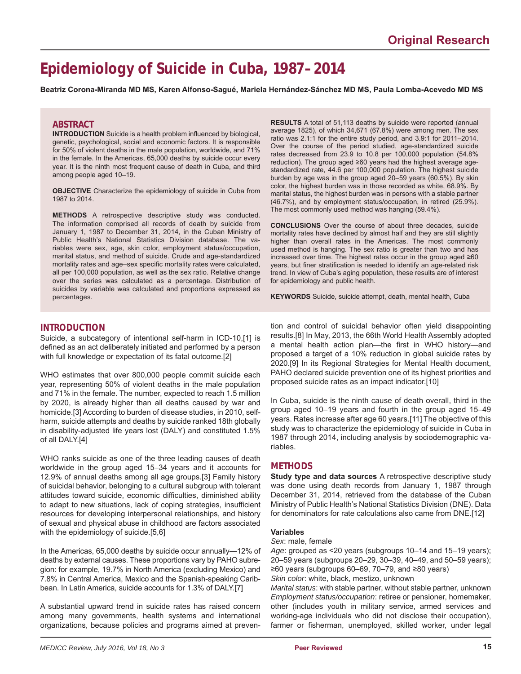# **Epidemiology of Suicide in Cuba, 1987–2014**

**Beatriz Corona-Miranda MD MS, Karen Alfonso-Sagué, Mariela Hernández-Sánchez MD MS, Paula Lomba-Acevedo MD MS**

#### **ABSTRACT**

**INTRODUCTION** Suicide is a health problem influenced by biological, genetic, psychological, social and economic factors. It is responsible for 50% of violent deaths in the male population, worldwide, and 71% in the female. In the Americas, 65,000 deaths by suicide occur every year. It is the ninth most frequent cause of death in Cuba, and third among people aged 10–19.

**OBJECTIVE** Characterize the epidemiology of suicide in Cuba from 1987 to 2014.

**METHODS** A retrospective descriptive study was conducted. The information comprised all records of death by suicide from January 1, 1987 to December 31, 2014, in the Cuban Ministry of Public Health's National Statistics Division database. The variables were sex, age, skin color, employment status/occupation, marital status, and method of suicide. Crude and age-standardized mortality rates and age–sex specific mortality rates were calculated, all per 100,000 population, as well as the sex ratio. Relative change over the series was calculated as a percentage. Distribution of suicides by variable was calculated and proportions expressed as percentages.

**RESULTS** A total of 51,113 deaths by suicide were reported (annual average 1825), of which 34,671 (67.8%) were among men. The sex ratio was 2.1:1 for the entire study period, and 3.9:1 for 2011–2014. Over the course of the period studied, age-standardized suicide rates decreased from 23.9 to 10.8 per 100,000 population (54.8% reduction). The group aged ≥60 years had the highest average agestandardized rate, 44.6 per 100,000 population. The highest suicide burden by age was in the group aged 20–59 years (60.5%). By skin color, the highest burden was in those recorded as white, 68.9%. By marital status, the highest burden was in persons with a stable partner (46.7%), and by employment status/occupation, in retired (25.9%). The most commonly used method was hanging (59.4%).

**CONCLUSIONS** Over the course of about three decades, suicide mortality rates have declined by almost half and they are still slightly higher than overall rates in the Americas. The most commonly used method is hanging. The sex ratio is greater than two and has increased over time. The highest rates occur in the group aged ≥60 years, but finer stratification is needed to identify an age-related risk trend. In view of Cuba's aging population, these results are of interest for epidemiology and public health.

**KEYWORDS** Suicide, suicide attempt, death, mental health, Cuba

### **INTRODUCTION**

Suicide, a subcategory of intentional self-harm in ICD-10,[1] is defined as an act deliberately initiated and performed by a person with full knowledge or expectation of its fatal outcome.[2]

WHO estimates that over 800,000 people commit suicide each year, representing 50% of violent deaths in the male population and 71% in the female. The number, expected to reach 1.5 million by 2020, is already higher than all deaths caused by war and homicide.[3] According to burden of disease studies, in 2010, selfharm, suicide attempts and deaths by suicide ranked 18th globally in disability-adjusted life years lost (DALY) and constituted 1.5% of all DALY.[4]

WHO ranks suicide as one of the three leading causes of death worldwide in the group aged 15–34 years and it accounts for 12.9% of annual deaths among all age groups.[3] Family history of suicidal behavior, belonging to a cultural subgroup with tolerant attitudes toward suicide, economic difficulties, diminished ability to adapt to new situations, lack of coping strategies, insufficient resources for developing interpersonal relationships, and history of sexual and physical abuse in childhood are factors associated with the epidemiology of suicide.[5,6]

In the Americas, 65,000 deaths by suicide occur annually—12% of deaths by external causes. These proportions vary by PAHO subregion: for example, 19.7% in North America (excluding Mexico) and 7.8% in Central America, Mexico and the Spanish-speaking Caribbean. In Latin America, suicide accounts for 1.3% of DALY.[7]

A substantial upward trend in suicide rates has raised concern among many governments, health systems and international organizations, because policies and programs aimed at preven-

tion and control of suicidal behavior often yield disappointing results.[8] In May, 2013, the 66th World Health Assembly adopted a mental health action plan—the first in WHO history—and proposed a target of a 10% reduction in global suicide rates by 2020.[9] In its Regional Strategies for Mental Health document, PAHO declared suicide prevention one of its highest priorities and proposed suicide rates as an impact indicator.[10]

In Cuba, suicide is the ninth cause of death overall, third in the group aged 10–19 years and fourth in the group aged 15–49 years. Rates increase after age 60 years.[11] The objective of this study was to characterize the epidemiology of suicide in Cuba in 1987 through 2014, including analysis by sociodemographic variables.

### **METHODS**

**Study type and data sources** A retrospective descriptive study was done using death records from January 1, 1987 through December 31, 2014, retrieved from the database of the Cuban Ministry of Public Health's National Statistics Division (DNE). Data for denominators for rate calculations also came from DNE.[12]

#### **Variables**

*Sex*: male, female

*Age*: grouped as <20 years (subgroups 10–14 and 15–19 years); 20–59 years (subgroups 20–29, 30–39, 40–49, and 50–59 years); ≥60 years (subgroups 60–69, 70–79, and ≥80 years)

*Skin color*: white, black, mestizo, unknown

*Marital status*: with stable partner, without stable partner, unknown *Employment status/occupation*: retiree or pensioner, homemaker, other (includes youth in military service, armed services and working-age individuals who did not disclose their occupation), farmer or fisherman, unemployed, skilled worker, under legal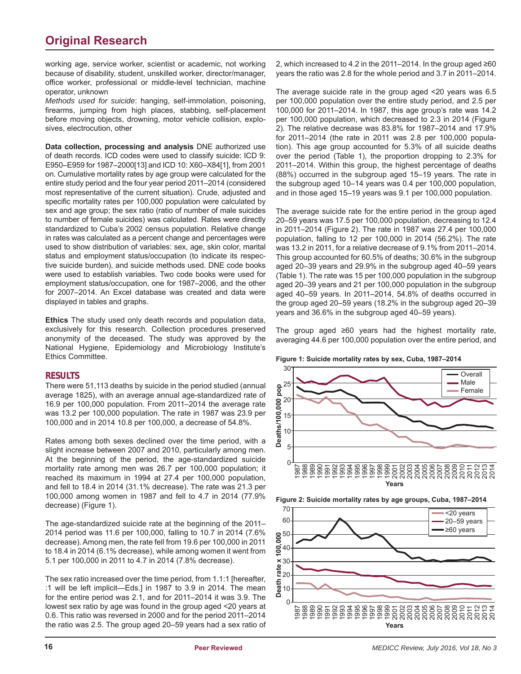## **Original Research**

working age, service worker, scientist or academic, not working because of disability, student, unskilled worker, director/manager, office worker, professional or middle-level technician, machine operator, unknown

*Methods used for suicide*: hanging, self-immolation, poisoning, firearms, jumping from high places, stabbing, self-placement before moving objects, drowning, motor vehicle collision, explosives, electrocution, other

**Data collection, processing and analysis** DNE authorized use of death records. ICD codes were used to classify suicide: ICD 9: E950–E959 for 1987–2000[13] and ICD 10: X60–X84[1], from 2001 on. Cumulative mortality rates by age group were calculated for the entire study period and the four year period 2011–2014 (considered most representative of the current situation). Crude, adjusted and specific mortality rates per 100,000 population were calculated by sex and age group; the sex ratio (ratio of number of male suicides to number of female suicides) was calculated. Rates were directly standardized to Cuba's 2002 census population. Relative change in rates was calculated as a percent change and percentages were used to show distribution of variables: sex, age, skin color, marital status and employment status/occupation (to indicate its respective suicide burden), and suicide methods used. DNE code books were used to establish variables. Two code books were used for employment status/occupation, one for 1987–2006, and the other for 2007–2014. An Excel database was created and data were displayed in tables and graphs.

**Ethics** The study used only death records and population data, exclusively for this research. Collection procedures preserved anonymity of the deceased. The study was approved by the National Hygiene, Epidemiology and Microbiology Institute's Ethics Committee.

### **RESULTS**

There were 51,113 deaths by suicide in the period studied (annual average 1825), with an average annual age-standardized rate of 16.9 per 100,000 population. From 2011–2014 the average rate was 13.2 per 100,000 population. The rate in 1987 was 23.9 per 100,000 and in 2014 10.8 per 100,000, a decrease of 54.8%.

Rates among both sexes declined over the time period, with a slight increase between 2007 and 2010, particularly among men. At the beginning of the period, the age-standardized suicide mortality rate among men was 26.7 per 100,000 population; it reached its maximum in 1994 at 27.4 per 100,000 population, and fell to 18.4 in 2014 (31.1% decrease). The rate was 21.3 per 100,000 among women in 1987 and fell to 4.7 in 2014 (77.9% decrease) (Figure 1).

The age-standardized suicide rate at the beginning of the 2011– 2014 period was 11.6 per 100,000, falling to 10.7 in 2014 (7.6% decrease). Among men, the rate fell from 19.6 per 100,000 in 2011 to 18.4 in 2014 (6.1% decrease), while among women it went from 5.1 per 100,000 in 2011 to 4.7 in 2014 (7.8% decrease).

The sex ratio increased over the time period, from 1.1:1 [hereafter, :1 will be left implicit—Eds.] in 1987 to 3.9 in 2014. The mean for the entire period was 2.1, and for 2011–2014 it was 3.9. The lowest sex ratio by age was found in the group aged <20 years at 0.6. This ratio was reversed in 2000 and for the period 2011–2014 the ratio was 2.5. The group aged 20–59 years had a sex ratio of 2, which increased to 4.2 in the 2011–2014. In the group aged ≥60 years the ratio was 2.8 for the whole period and 3.7 in 2011–2014.

The average suicide rate in the group aged <20 years was 6.5 per 100,000 population over the entire study period, and 2.5 per 100,000 for 2011–2014. In 1987, this age group's rate was 14.2 per 100,000 population, which decreased to 2.3 in 2014 (Figure 2). The relative decrease was 83.8% for 1987–2014 and 17.9% for 2011–2014 (the rate in 2011 was 2.8 per 100,000 population). This age group accounted for 5.3% of all suicide deaths over the period (Table 1), the proportion dropping to 2.3% for 2011–2014. Within this group, the highest percentage of deaths (88%) occurred in the subgroup aged 15–19 years. The rate in the subgroup aged 10–14 years was 0.4 per 100,000 population, and in those aged 15–19 years was 9.1 per 100,000 population.

The average suicide rate for the entire period in the group aged 20–59 years was 17.5 per 100,000 population, decreasing to 12.4 in 2011–2014 (Figure 2). The rate in 1987 was 27.4 per 100,000 population, falling to 12 per 100,000 in 2014 (56.2%). The rate was 13.2 in 2011, for a relative decrease of 9.1% from 2011–2014. This group accounted for 60.5% of deaths; 30.6% in the subgroup aged 20–39 years and 29.9% in the subgroup aged 40–59 years (Table 1). The rate was 15 per 100,000 population in the subgroup aged 20–39 years and 21 per 100,000 population in the subgroup aged 40–59 years. In 2011–2014, 54.8% of deaths occurred in the group aged 20–59 years (18.2% in the subgroup aged 20–39 years and 36.6% in the subgroup aged 40–59 years).

The group aged ≥60 years had the highest mortality rate, averaging 44.6 per 100,000 population over the entire period, and







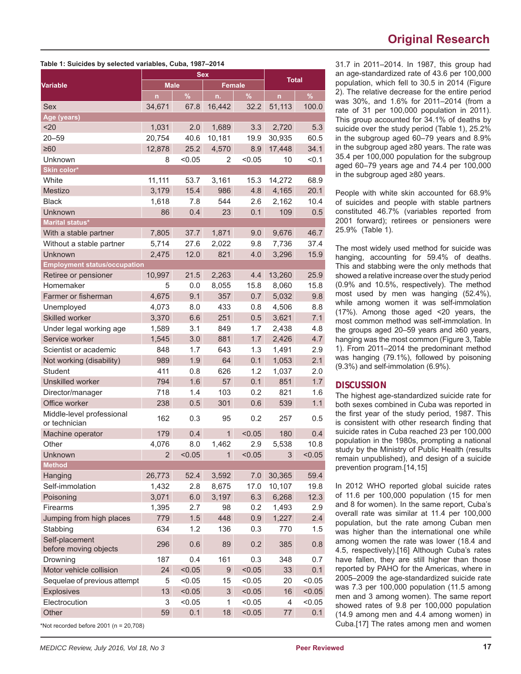## **Original Research**

| 31.7 in 2011–2014. In 1987, this group had         |
|----------------------------------------------------|
| an age-standardized rate of 43.6 per 100,000       |
| population, which fell to 30.5 in 2014 (Figure     |
| 2). The relative decrease for the entire period    |
| was 30%, and 1.6% for 2011-2014 (from a            |
| rate of 31 per 100,000 population in 2011).        |
| This group accounted for 34.1% of deaths by        |
| suicide over the study period (Table 1), 25.2%     |
| in the subgroup aged 60-79 years and 8.9%          |
| in the subgroup aged $\geq 80$ years. The rate was |
| 35.4 per 100,000 population for the subgroup       |
| aged 60-79 years age and 74.4 per 100,000          |
| in the subgroup aged ≥80 years.                    |

People with white skin accounted for 68.9% of suicides and people with stable partners constituted 46.7% (variables reported from 2001 forward); retirees or pensioners were 25.9% (Table 1).

The most widely used method for suicide was hanging, accounting for 59.4% of deaths. This and stabbing were the only methods that showed a relative increase over the study period (0.9% and 10.5%, respectively). The method most used by men was hanging (52.4%), while among women it was self-immolation (17%). Among those aged <20 years, the most common method was self-immolation. In the groups aged 20–59 years and ≥60 years, hanging was the most common (Figure 3, Table 1). From 2011–2014 the predominant method was hanging (79.1%), followed by poisoning (9.3%) and self-immolation (6.9%).

### **DISCUSSION**

The highest age-standardized suicide rate for both sexes combined in Cuba was reported in the first year of the study period, 1987. This is consistent with other research finding that suicide rates in Cuba reached 23 per 100,000 population in the 1980s, prompting a national study by the Ministry of Public Health (results remain unpublished), and design of a suicide prevention program.[14,15]

In 2012 WHO reported global suicide rates of 11.6 per 100,000 population (15 for men and 8 for women). In the same report, Cuba's overall rate was similar at 11.4 per 100,000 population, but the rate among Cuban men was higher than the international one while among women the rate was lower (18.4 and 4.5, respectively).[16] Although Cuba's rates have fallen, they are still higher than those reported by PAHO for the Americas, where in 2005–2009 the age-standardized suicide rate was 7.3 per 100,000 population (11.5 among men and 3 among women). The same report showed rates of 9.8 per 100,000 population (14.9 among men and 4.4 among women) in Cuba.[17] The rates among men and women

| Table 1: Suicides by selected variables, Cuba, 1987–2014 |  |  |  |
|----------------------------------------------------------|--|--|--|
|----------------------------------------------------------|--|--|--|

|                                             | <b>Sex</b>     |               |               |        | <b>Total</b> |        |
|---------------------------------------------|----------------|---------------|---------------|--------|--------------|--------|
| <b>Variable</b>                             | <b>Male</b>    |               | <b>Female</b> |        |              |        |
|                                             | $\mathsf{n}$   | $\frac{9}{6}$ | n.            | %      | $\mathsf{n}$ | $\%$   |
| <b>Sex</b>                                  | 34,671         | 67.8          | 16,442        | 32.2   | 51,113       | 100.0  |
| Age (years)                                 |                |               |               |        |              |        |
| <20                                         | 1,031          | 2.0           | 1,689         | 3.3    | 2,720        | 5.3    |
| $20 - 59$                                   | 20,754         | 40.6          | 10,181        | 19.9   | 30,935       | 60.5   |
| $\geq 60$                                   | 12,878         | 25.2          | 4,570         | 8.9    | 17,448       | 34.1   |
| Unknown                                     | 8              | < 0.05        | 2             | < 0.05 | 10           | < 0.1  |
| Skin color*                                 |                |               |               |        |              |        |
| White                                       | 11,111         | 53.7          | 3,161         | 15.3   | 14,272       | 68.9   |
| Mestizo                                     | 3,179          | 15.4          | 986           | 4.8    | 4,165        | 20.1   |
| <b>Black</b>                                | 1,618          | 7.8           | 544           | 2.6    | 2,162        | 10.4   |
| Unknown                                     | 86             | 0.4           | 23            | 0.1    | 109          | 0.5    |
| Marital status*                             |                |               |               |        |              |        |
| With a stable partner                       | 7,805          | 37.7          | 1,871         | 9.0    | 9,676        | 46.7   |
| Without a stable partner                    | 5,714          | 27.6          | 2,022         | 9.8    | 7,736        | 37.4   |
| Unknown                                     | 2,475          | 12.0          | 821           | 4.0    | 3,296        | 15.9   |
| <b>Employment status/occupation</b>         |                |               |               |        |              |        |
| Retiree or pensioner                        | 10,997         | 21.5          | 2,263         | 4.4    | 13,260       | 25.9   |
| Homemaker                                   | 5              | 0.0           | 8,055         | 15.8   | 8,060        | 15.8   |
| Farmer or fisherman                         | 4,675          | 9.1           | 357           | 0.7    | 5,032        | 9.8    |
| Unemployed                                  | 4,073          | 8.0           | 433           | 0.8    | 4,506        | 8.8    |
| Skilled worker                              | 3,370          | 6.6           | 251           | 0.5    | 3,621        | 7.1    |
| Under legal working age                     | 1,589          | 3.1           | 849           | 1.7    | 2,438        | 4.8    |
| Service worker                              | 1,545          | 3.0           | 881           | 1.7    | 2,426        | 4.7    |
| Scientist or academic                       | 848            | 1.7           | 643           | 1.3    | 1,491        | 2.9    |
| Not working (disability)                    | 989            | 1.9           | 64            | 0.1    | 1,053        | 2.1    |
| <b>Student</b>                              | 411            | 0.8           | 626           | 1.2    | 1,037        | 2.0    |
| <b>Unskilled worker</b>                     | 794            | 1.6           | 57            | 0.1    | 851          | 1.7    |
| Director/manager                            | 718            | 1.4           | 103           | 0.2    | 821          | 1.6    |
| Office worker                               | 238            | 0.5           | 301           | 0.6    | 539          | 1.1    |
| Middle-level professional<br>or technician  | 162            | 0.3           | 95            | 0.2    | 257          | 0.5    |
| Machine operator                            | 179            | 0.4           | $\mathbf{1}$  | < 0.05 | 180          | 0.4    |
| Other                                       | 4,076          | 8.0           | 1,462         | 2.9    | 5,538        | 10.8   |
| Unknown                                     | $\overline{2}$ | < 0.05        | 1             | < 0.05 | 3            | < 0.05 |
| <b>Method</b>                               |                |               |               |        |              |        |
| Hanging                                     | 26,773         | 52.4          | 3,592         | 7.0    | 30,365       | 59.4   |
| Self-immolation                             | 1,432          | 2.8           | 8,675         | 17.0   | 10,107       | 19.8   |
| Poisoning                                   | 3,071          | 6.0           | 3,197         | 6.3    | 6,268        | 12.3   |
| Firearms                                    | 1,395          | 2.7           | 98            | 0.2    | 1,493        | 2.9    |
| Jumping from high places                    | 779            | 1.5           | 448           | 0.9    | 1,227        | 2.4    |
| Stabbing                                    | 634            | 1.2           | 136           | 0.3    | 770          | 1.5    |
| Self-placement<br>before moving objects     | 296            | 0.6           | 89            | 0.2    | 385          | 0.8    |
| Drowning                                    | 187            | 0.4           | 161           | 0.3    | 348          | 0.7    |
| Motor vehicle collision                     | 24             | < 0.05        | 9             | < 0.05 | 33           | 0.1    |
| Sequelae of previous attempt                | 5              | < 0.05        | 15            | < 0.05 | 20           | < 0.05 |
| Explosives                                  | 13             | < 0.05        | 3             | < 0.05 | 16           | < 0.05 |
| Electrocution                               | 3              | < 0.05        | 1             | < 0.05 | 4            | < 0.05 |
| Other                                       | 59             | 0.1           | 18            | < 0.05 | 77           | 0.1    |
| *Not recorded before $2001$ (n = $20,708$ ) |                |               |               |        |              |        |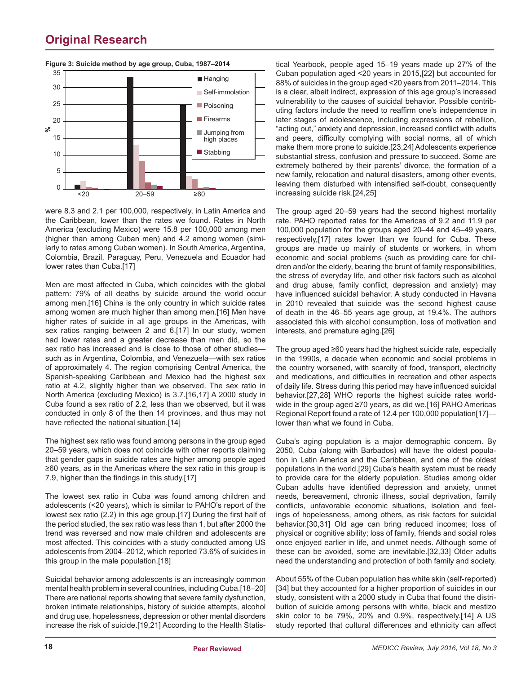

### **Original Research**

were 8.3 and 2.1 per 100,000, respectively, in Latin America and the Caribbean, lower than the rates we found. Rates in North America (excluding Mexico) were 15.8 per 100,000 among men (higher than among Cuban men) and 4.2 among women (similarly to rates among Cuban women). In South America, Argentina, Colombia, Brazil, Paraguay, Peru, Venezuela and Ecuador had lower rates than Cuba.[17]

Men are most affected in Cuba, which coincides with the global pattern: 79% of all deaths by suicide around the world occur among men.[16] China is the only country in which suicide rates among women are much higher than among men.[16] Men have higher rates of suicide in all age groups in the Americas, with sex ratios ranging between 2 and 6.[17] In our study, women had lower rates and a greater decrease than men did, so the sex ratio has increased and is close to those of other studies such as in Argentina, Colombia, and Venezuela—with sex ratios of approximately 4. The region comprising Central America, the Spanish-speaking Caribbean and Mexico had the highest sex ratio at 4.2, slightly higher than we observed. The sex ratio in North America (excluding Mexico) is 3.7.[16,17] A 2000 study in Cuba found a sex ratio of 2.2, less than we observed, but it was conducted in only 8 of the then 14 provinces, and thus may not have reflected the national situation.[14]

The highest sex ratio was found among persons in the group aged 20–59 years, which does not coincide with other reports claiming that gender gaps in suicide rates are higher among people aged ≥60 years, as in the Americas where the sex ratio in this group is 7.9, higher than the findings in this study.[17]

The lowest sex ratio in Cuba was found among children and adolescents (<20 years), which is similar to PAHO's report of the lowest sex ratio (2.2) in this age group.[17] During the first half of the period studied, the sex ratio was less than 1, but after 2000 the trend was reversed and now male children and adolescents are most affected. This coincides with a study conducted among US adolescents from 2004–2012, which reported 73.6% of suicides in this group in the male population.[18]

Suicidal behavior among adolescents is an increasingly common mental health problem in several countries, including Cuba.[18–20] There are national reports showing that severe family dysfunction, broken intimate relationships, history of suicide attempts, alcohol and drug use, hopelessness, depression or other mental disorders increase the risk of suicide.[19,21] According to the Health Statistical Yearbook, people aged 15–19 years made up 27% of the Cuban population aged <20 years in 2015,[22] but accounted for 88% of suicides in the group aged <20 years from 2011–2014. This is a clear, albeit indirect, expression of this age group's increased vulnerability to the causes of suicidal behavior. Possible contributing factors include the need to reaffirm one's independence in later stages of adolescence, including expressions of rebellion, "acting out," anxiety and depression, increased conflict with adults and peers, difficulty complying with social norms, all of which make them more prone to suicide.[23,24] Adolescents experience substantial stress, confusion and pressure to succeed. Some are extremely bothered by their parents' divorce, the formation of a new family, relocation and natural disasters, among other events, leaving them disturbed with intensified self-doubt, consequently increasing suicide risk.[24,25]

The group aged 20–59 years had the second highest mortality rate. PAHO reported rates for the Americas of 9.2 and 11.9 per 100,000 population for the groups aged 20–44 and 45–49 years, respectively,[17] rates lower than we found for Cuba. These groups are made up mainly of students or workers, in whom economic and social problems (such as providing care for children and/or the elderly, bearing the brunt of family responsibilities, the stress of everyday life, and other risk factors such as alcohol and drug abuse, family conflict, depression and anxiety) may have influenced suicidal behavior. A study conducted in Havana in 2010 revealed that suicide was the second highest cause of death in the 46–55 years age group, at 19.4%. The authors associated this with alcohol consumption, loss of motivation and interests, and premature aging.[26]

The group aged ≥60 years had the highest suicide rate, especially in the 1990s, a decade when economic and social problems in the country worsened, with scarcity of food, transport, electricity and medications, and difficulties in recreation and other aspects of daily life. Stress during this period may have influenced suicidal behavior.[27,28] WHO reports the highest suicide rates worldwide in the group aged ≥70 years, as did we.[16] PAHO Americas Regional Report found a rate of 12.4 per 100,000 population[17] lower than what we found in Cuba.

Cuba's aging population is a major demographic concern. By 2050, Cuba (along with Barbados) will have the oldest population in Latin America and the Caribbean, and one of the oldest populations in the world.[29] Cuba's health system must be ready to provide care for the elderly population. Studies among older Cuban adults have identified depression and anxiety, unmet needs, bereavement, chronic illness, social deprivation, family conflicts, unfavorable economic situations, isolation and feelings of hopelessness, among others, as risk factors for suicidal behavior.[30,31] Old age can bring reduced incomes; loss of physical or cognitive ability; loss of family, friends and social roles once enjoyed earlier in life, and unmet needs. Although some of these can be avoided, some are inevitable.[32,33] Older adults need the understanding and protection of both family and society.

About 55% of the Cuban population has white skin (self-reported) [34] but they accounted for a higher proportion of suicides in our study, consistent with a 2000 study in Cuba that found the distribution of suicide among persons with white, black and mestizo skin color to be 79%, 20% and 0.9%, respectively.[14] A US study reported that cultural differences and ethnicity can affect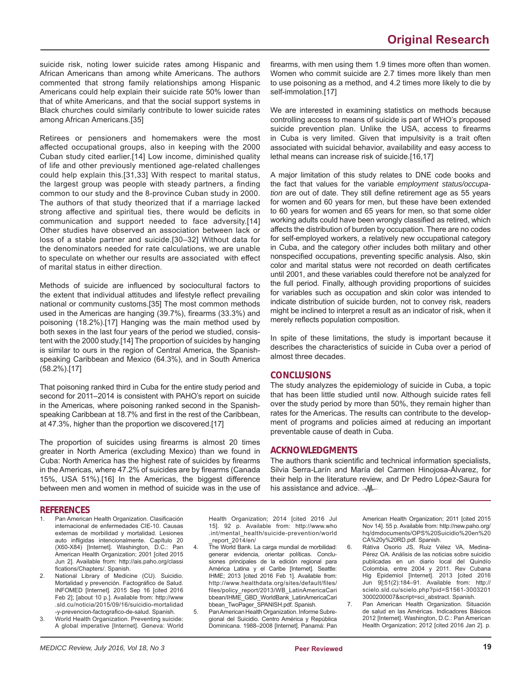suicide risk, noting lower suicide rates among Hispanic and African Americans than among white Americans. The authors commented that strong family relationships among Hispanic Americans could help explain their suicide rate 50% lower than that of white Americans, and that the social support systems in Black churches could similarly contribute to lower suicide rates among African Americans.[35]

Retirees or pensioners and homemakers were the most affected occupational groups, also in keeping with the 2000 Cuban study cited earlier.[14] Low income, diminished quality of life and other previously mentioned age-related challenges could help explain this.[31,33] With respect to marital status, the largest group was people with steady partners, a finding common to our study and the 8-province Cuban study in 2000. The authors of that study theorized that if a marriage lacked strong affective and spiritual ties, there would be deficits in communication and support needed to face adversity.[14] Other studies have observed an association between lack or loss of a stable partner and suicide.[30–32] Without data for the denominators needed for rate calculations, we are unable to speculate on whether our results are associated with effect of marital status in either direction.

Methods of suicide are influenced by sociocultural factors to the extent that individual attitudes and lifestyle reflect prevailing national or community customs.[35] The most common methods used in the Americas are hanging (39.7%), firearms (33.3%) and poisoning (18.2%).[17] Hanging was the main method used by both sexes in the last four years of the period we studied, consistent with the 2000 study.[14] The proportion of suicides by hanging is similar to ours in the region of Central America, the Spanishspeaking Caribbean and Mexico (64.3%), and in South America (58.2%).[17]

That poisoning ranked third in Cuba for the entire study period and second for 2011–2014 is consistent with PAHO's report on suicide in the Americas, where poisoning ranked second in the Spanishspeaking Caribbean at 18.7% and first in the rest of the Caribbean, at 47.3%, higher than the proportion we discovered.[17]

The proportion of suicides using firearms is almost 20 times greater in North America (excluding Mexico) than we found in Cuba: North America has the highest rate of suicides by firearms in the Americas, where 47.2% of suicides are by firearms (Canada 15%, USA 51%).[16] In the Americas, the biggest difference between men and women in method of suicide was in the use of firearms, with men using them 1.9 times more often than women. Women who commit suicide are 2.7 times more likely than men to use poisoning as a method, and 4.2 times more likely to die by self-immolation.[17]

We are interested in examining statistics on methods because controlling access to means of suicide is part of WHO's proposed suicide prevention plan. Unlike the USA, access to firearms in Cuba is very limited. Given that impulsivity is a trait often associated with suicidal behavior, availability and easy access to lethal means can increase risk of suicide.[16,17]

A major limitation of this study relates to DNE code books and the fact that values for the variable *employment status/occupation* are out of date. They still define retirement age as 55 years for women and 60 years for men, but these have been extended to 60 years for women and 65 years for men, so that some older working adults could have been wrongly classified as retired, which affects the distribution of burden by occupation. There are no codes for self-employed workers, a relatively new occupational category in Cuba, and the category *other* includes both military and other nonspecified occupations, preventing specific analysis. Also, skin color and marital status were not recorded on death certificates until 2001, and these variables could therefore not be analyzed for the full period. Finally, although providing proportions of suicides for variables such as occupation and skin color was intended to indicate distribution of suicide burden, not to convey risk, readers might be inclined to interpret a result as an indicator of risk, when it merely reflects population composition.

In spite of these limitations, the study is important because it describes the characteristics of suicide in Cuba over a period of almost three decades.

### **CONCLUSIONS**

The study analyzes the epidemiology of suicide in Cuba, a topic that has been little studied until now. Although suicide rates fell over the study period by more than 50%, they remain higher than rates for the Americas. The results can contribute to the development of programs and policies aimed at reducing an important preventable cause of death in Cuba.

### **ACKNOWLEDGMENTS**

The authors thank scientific and technical information specialists, Silvia Serra-Larín and María del Carmen Hinojosa-Álvarez, for their help in the literature review, and Dr Pedro López-Saura for his assistance and advice.  $-M$ 

### **REFERENCES**

- Pan American Health Organization. Clasificación internacional de enfermedades CIE-10. Causas externas de morbilidad y mortalidad. Lesiones auto infligidas intencionalmente. Capítulo 20 (X60-X84) [Internet]. Washington, D.C.: Pan American Health Organization; 2001 [cited 2015 Jun 2]. Available from: http://ais.paho.org/classi fications/Chapters/. Spanish.
- 2. National Library of Medicine (CU). Suicidio. Mortalidad y prevención. Factográfico de Salud. INFOMED [Internet]. 2015 Sep 16 [cited 2016 Feb 2]; [about 10 p.]. Available from: http://www .sld.cu/noticia/2015/09/16/suicidio-mortalidad -y-prevencion-factografico-de-salud. Spanish.
- 3. World Health Organization. Preventing suicide: A global imperative [Internet]. Geneva: World

Health Organization; 2014 [cited 2016 Jul 15]. 92 p. Available from: http://www.who .int/mental\_health/suicide-prevention/world \_report\_2014/en/

- 4. The World Bank. La carga mundial de morbilidad: generar evidencia, orientar políticas. Conclusiones principales de la edición regional para América Latina y el Caribe [Internet]. Seattle: IHME; 2013 [cited 2016 Feb 1]. Available from: http://www.healthdata.org/sites/default/files/ files/policy\_report/2013/WB\_LatinAmericaCari bbean/IHME\_GBD\_WorldBank\_LatinAmericaCari bbean\_TwoPager\_SPANISH.pdf. Spanish.
- 5. Pan American Health Organization. Informe Subregional del Suicidio. Centro América y República Dominicana. 1988–2008 [Internet]. Panamá: Pan

American Health Organization; 2011 [cited 2015 Nov 14]. 55 p. Available from: http://new.paho.org/ hq/dmdocuments/OPS%20Suicidio%20en%20 CA%20y%20RD.pdf. Spanish.

- 6. Rátiva Osorio JS, Ruiz Vélez VA, Medina-Pérez OA. Análisis de las noticias sobre suicidio publicadas en un diario local del Quindío Colombia, entre 2004 y 2011. Rev Cubana Hig Epidemiol [Internet]. 2013 [cited 2016 Jun 9];51(2):184–91. Available from: http:// scielo.sld.cu/scielo.php?pid=S1561-3003201 3000200007&script=sci\_abstract. Spanish.
- Pan American Health Organization. Situación de salud en las Américas. Indicadores Básicos 2012 [Internet]. Washington, D.C.: Pan American Health Organization; 2012 [cited 2016 Jan 2]. p.